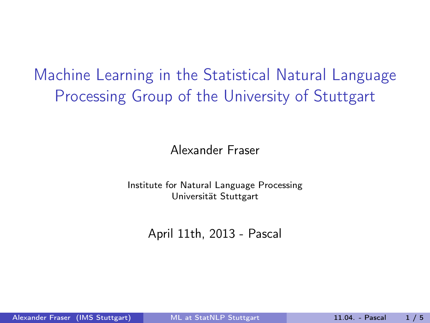Machine Learning in the Statistical Natural Language Processing Group of the University of Stuttgart

Alexander Fraser

Institute for Natural Language Processing Universität Stuttgart

<span id="page-0-0"></span>April 11th, 2013 - Pascal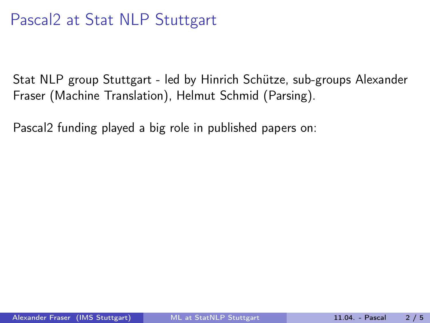Stat NLP group Stuttgart - led by Hinrich Schütze, sub-groups Alexander Fraser (Machine Translation), Helmut Schmid (Parsing).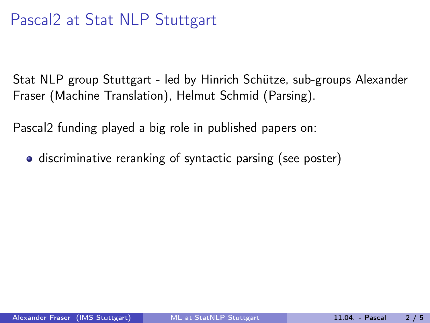Stat NLP group Stuttgart - led by Hinrich Schütze, sub-groups Alexander Fraser (Machine Translation), Helmut Schmid (Parsing).

Pascal2 funding played a big role in published papers on:

**•** discriminative reranking of syntactic parsing (see poster)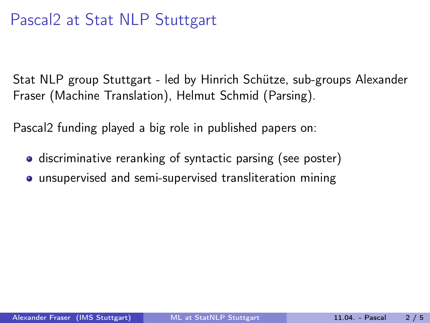Stat NLP group Stuttgart - led by Hinrich Schütze, sub-groups Alexander Fraser (Machine Translation), Helmut Schmid (Parsing).

- **•** discriminative reranking of syntactic parsing (see poster)
- **•** unsupervised and semi-supervised transliteration mining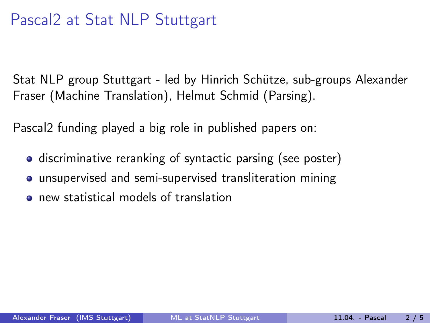Stat NLP group Stuttgart - led by Hinrich Schütze, sub-groups Alexander Fraser (Machine Translation), Helmut Schmid (Parsing).

- **•** discriminative reranking of syntactic parsing (see poster)
- **•** unsupervised and semi-supervised transliteration mining
- new statistical models of translation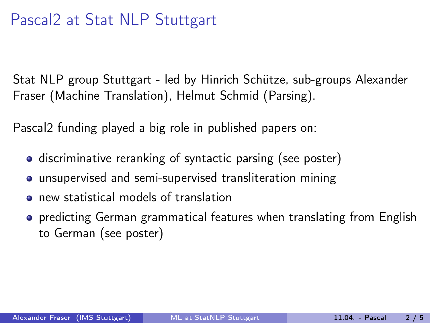Stat NLP group Stuttgart - led by Hinrich Schütze, sub-groups Alexander Fraser (Machine Translation), Helmut Schmid (Parsing).

- **•** discriminative reranking of syntactic parsing (see poster)
- **•** unsupervised and semi-supervised transliteration mining
- new statistical models of translation
- **•** predicting German grammatical features when translating from English to German (see poster)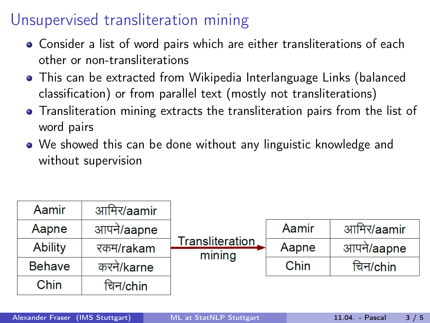# Unsupervised transliteration mining

- Consider a list of word pairs which are either transliterations of each other or non-transliterations
- This can be extracted from Wikipedia Interlanguage Links (balanced classification) or from parallel text (mostly not transliterations)
- Transliteration mining extracts the transliteration pairs from the list of word pairs
- We showed this can be done without any linguistic knowledge and without supervision

| Aamir          | आमिर/aamir | Transliteration<br>mining |       |            |
|----------------|------------|---------------------------|-------|------------|
| Aapne          | आपने/aapne |                           | Aamir | आमिर/aamir |
| <b>Ability</b> | रकम/rakam  |                           | Aapne | आपने/aapne |
| <b>Behave</b>  | करने/karne |                           | Chin  | चिन/chin   |
| Chin           | चिन/chin   |                           |       |            |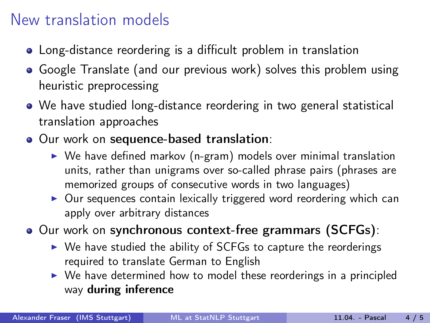#### New translation models

- Long-distance reordering is a difficult problem in translation
- Google Translate (and our previous work) solves this problem using heuristic preprocessing
- We have studied long-distance reordering in two general statistical translation approaches
- Our work on sequence-based translation:
	- $\triangleright$  We have defined markov (n-gram) models over minimal translation units, rather than unigrams over so-called phrase pairs (phrases are memorized groups of consecutive words in two languages)
	- $\triangleright$  Our sequences contain lexically triggered word reordering which can apply over arbitrary distances

Our work on synchronous context-free grammars (SCFGs):

- $\triangleright$  We have studied the ability of SCFGs to capture the reorderings required to translate German to English
- $\triangleright$  We have determined how to model these reorderings in a principled way during inference